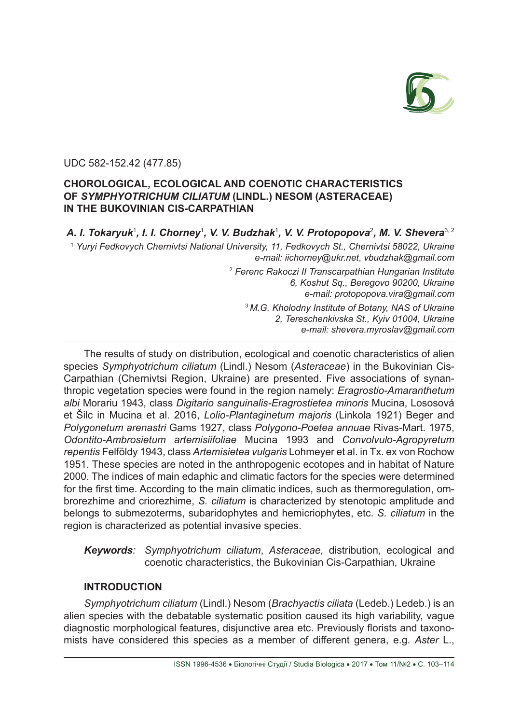

## UDC 582-152.42 (477.85)

# **CHOROLOGICAL, ECOLOGICAL AND COENOTIC CHARACTERISTICS OF** *SYMPHYOTRICHUM CILIATUM* **(LINDL.) NESOM (ASTERACEAE) IN THE BUKOVINIAN CIS-CARPATHIAN**

A. I. Tokaryuk<sup>1</sup>, I. I. Chorney<sup>1</sup>, V. V. Budzhak<sup>1</sup>, V. V. Protopopova<sup>2</sup>, M. V. Shevera<sup>3, 2</sup> <sup>1</sup> *Yuryi Fedkovych Chernivtsi National University, 11, Fedkovych St., Chernivtsi 58022, Ukraine e-mail: іісhorney@ukr.net*, *vbudzhak@gmail.com* <sup>2</sup> *Ferenc Rakoczi II Transcarpathian Hungarian Institute 6, Koshut Sq., Beregovo 90200, Ukraine e-mail: protopopova.vira@gmail.com* <sup>3</sup>*M.G. Kholodny Institute of Botany, NAS of Ukraine 2, Tereschenkivska St., Kyiv 01004, Ukraine e-mail: shevera.myroslav@gmail.com*

The results of study on distribution, ecological and coenotic characteristics of alien species *Symphyotrichum ciliatum* (Lindl.) Nesom (*Asteraceae*) in the Bukovinian Cis-Carpathian (Chernivtsi Region, Ukraine) are presented. Five associations of synanthropic vegetation species were found in the region namely: *Eragrostio-Amaranthetum albi* Morariu 1943, class *Digitario sanguinalis-Eragrostietea minoris* Mucina, Lososová et Šilc in Mucina et al. 2016, *Lolio-Plantaginetum majoris* (Linkola 1921) Beger and *Polygonetum arenastri* Gams 1927, class *Polygono-Poеtea annuae* Rivas-Mart. 1975, *Odontito-Ambrosietum artemisiifoliae* Mucina 1993 and *Convolvulo-Agropyretum repentis* Felföldy 1943, class *Artemisietea vulgaris* Lohmeyer et al. in Tx. ex von Rochow 1951. These species are noted in the anthropogenic ecotopes and in habitat of Nature 2000. The indices of main edaphic and climatic factors for the species were determined for the first time. According to the main climatic indices, such as thermoregulation, ombrorezhime and criorezhime, *S. ciliatum* is characterized by stenotopic amplitude and belongs to submezoterms, subaridophytes and hemicriophytes, etc. *S. ciliatum* in the region is characterized as potential invasive species.

*Keywords: Symphyotrichum ciliatum*, *Asteraceae,* distribution, ecological and coenotic characteristics, the Bukovinian Cis-Carpathian, Ukraine

# **INTRODUCTION**

*Symphyotrichum ciliatum* (Lindl.) Nesom (*Brachyactis ciliatа* (Ledeb.) Ledeb.) is an alien species with the debatable systematic position caused its high variability, vague diagnostic morphological features, disjunctive area etc. Previously florists and taxonomists have considered this species as a member of different genera, e.g. *Aster* L.,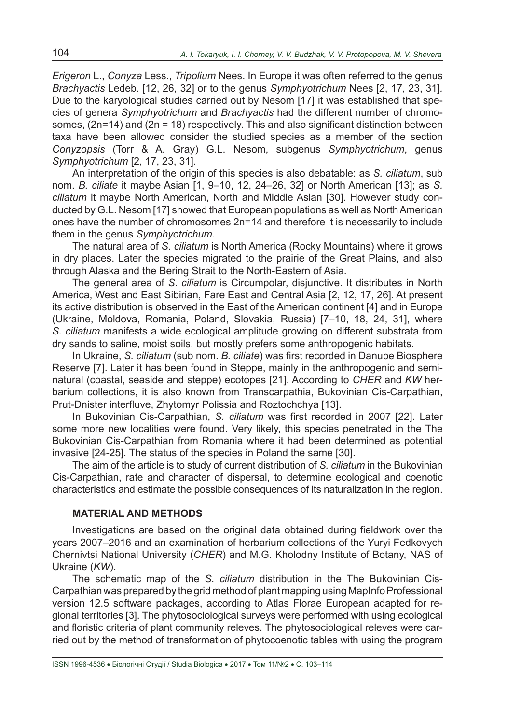*Erigeron* L., *Conyza* Less., *Tripolium* Nees. In Europe it was often referred to the genus *Brachyactis* Ledeb. [12, 26, 32] or to the genus *Symphyotrichum* Nees [2, 17, 23, 31]*.* Due to the karyological studies carried out by Nesom [17] it was established that species of genera *Symphyotrichum* and *Brachyactis* had the different number of chromosomes, (2n=14) and (2n = 18) respectively. This and also significant distinction between taxa have been allowed consider the studied species as a member of the section *Conyzopsis* (Torr & A. Gray) G.L. Nesom, subgenus *Symphyotrichum*, genus *Symphyotrichum* [2, 17, 23, 31]*.*

An interpretation of the origin of this species is also debatable: as *S. ciliatum*, sub nom. *B. ciliate* it maybe Asian [1, 9–10, 12, 24–26, 32] or North American [13]; as *S. ciliatum* it maybe North American, North and Middle Asian [30]. However study conducted by G.L. Nesom [17] showed that European populations as well as North American ones have the number of chromosomes 2n=14 and therefore it is necessarily to include them in the genus *Symphyotrichum*.

The natural area of *S. ciliatum* is North America (Rocky Mountains) where it grows in dry places. Later the species migrated to the prairie of the Great Plains, and also through Alaska and the Bering Strait to the North-Eastern of Asia.

The general area of *S. ciliatum* is Circumpolar, disjunctive. It distributes in North America, West and East Sibirian, Fare East and Central Asia [2, 12, 17, 26]. At present its active distribution is observed in the East of the American continent [4] and in Europe (Ukraine, Moldova, Romania, Poland, Slovakia, Russia) [7–10, 18, 24, 31], where *S. ciliatum* manifests a wide ecological amplitude growing on different substrata from dry sands to saline, moist soils, but mostly prefers some anthropogenic habitats.

In Ukraine, *S. ciliatum* (sub nom. *B. ciliate*) was first recorded in Danube Biosphere Reserve [7]. Later it has been found in Steppe, mainly in the anthropogenic and seminatural (coastal, seaside and steppe) ecotopes [21]. According to *CHER* and *KW* herbarium collections, it is also known from Transcarpathia, Bukovinian Cis-Carpathian, Prut-Dnister interfluve, Zhytomyr Polissia and Roztochchya [13].

In Bukovinian Cis-Carpathian, *S. ciliatum* was first recorded in 2007 [22]. Later some more new localities were found. Very likely, this species penetrated in the The Bukovinian Cis-Carpathian from Romania where it had been determined as potential invasive [24-25]. The status of the species in Poland the same [30].

The aim of the article is to study of current distribution of *S. ciliatum* in the Bukovinian Cis-Carpathian, rate and character of dispersal, to determine ecological and coenotic characteristics and estimate the possible consequences of its naturalization in the region.

### **MATERIAL AND METHODS**

Investigations are based on the original data obtained during fieldwork over the years 2007–2016 and an examination of herbarium collections of the Yuryi Fedkovych Chernivtsi National University (*CHER*) and M.G. Kholodny Institute of Botany, NAS of Ukraine (*KW*).

The schematic map of the *S. ciliatum* distribution in the The Bukovinian Cis-Carpathian was prepared by the grid method of plant mapping using MapInfo Professional version 12.5 software packages, according to Atlas Florae European adapted for regional territories [3]. The phytosociological surveys were performed with using ecological and floristic criteria of plant community releves. The phytosociological releves were carried out by the method of transformation of phytocoenotic tables with using the program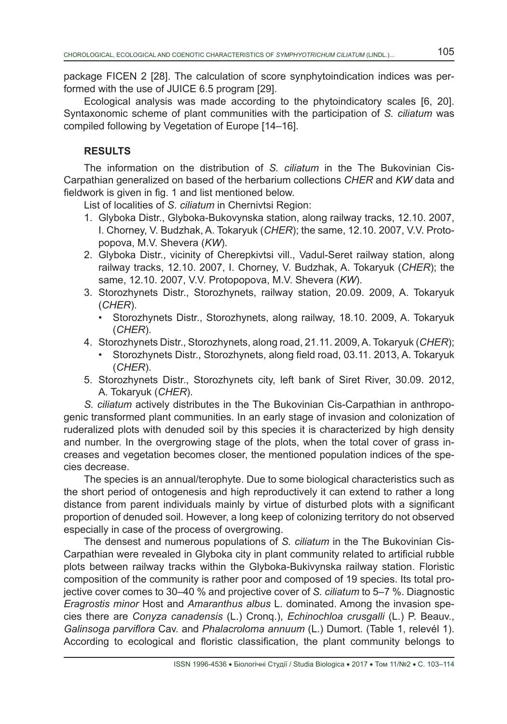package FICEN 2 [28]. The calculation of score synphytoindication indices was performed with the use of JUICE 6.5 program [29].

Ecological analysis was made according to the phytoindicatory scales [6, 20]. Syntaxonomic scheme of plant communities with the participation of *S. ciliatum* was compiled following by Vegetation of Europe [14–16].

# **RESULTS**

The information on the distribution of *S. сiliatum* in the The Bukovinian Cis-Carpathian generalized on based of the herbarium collections *CHER* and *KW* data and fieldwork is given in fig. 1 and list mentioned below.

List of localities of *S. сiliatum* in Chernivtsi Region:

- 1. Glyboka Distr., Glyboka-Bukovynska station, along railway tracks, 12.10. 2007, I. Chorney, V. Budzhak, A. Tokaryuk (*CHER*); the same, 12.10. 2007, V.V. Protopopova, M.V. Shevera (*KW*).
- 2. Glyboka Distr., vicinity of Cherepkivtsi vill., Vadul-Seret railway station, along railway tracks, 12.10. 2007, I. Chorney, V. Budzhak, A. Tokaryuk (*CHER*); the same, 12.10. 2007, V.V. Protopopova, M.V. Shevera (*KW*).
- 3. Storozhynets Distr., Storozhynets, railway station, 20.09. 2009, A. Tokaryuk (*CHER*).
	- Storozhynets Distr., Storozhynets, along railway, 18.10. 2009, A. Tokaryuk (*CHER*).
- 4. Storozhynets Distr., Storozhynets, along road, 21.11. 2009, A. Tokaryuk (*CHER*);
	- Storozhynets Distr., Storozhynets, along field road, 03.11. 2013, A. Tokaryuk (*CHER*).
- 5. Storozhynets Distr., Storozhynets city, left bank of Siret River, 30.09. 2012, А. Tokaryuk (*CHER*).

*S. ciliatum* actively distributes in the The Bukovinian Cis-Carpathian in anthropogenic transformed plant communities. In an early stage of invasion and colonization of ruderalized plots with denuded soil by this species it is characterized by high density and number. In the overgrowing stage of the plots, when the total cover of grass increases and vegetation becomes closer, the mentioned population indices of the species decrease.

The species is an annual/terophyte. Due to some biological characteristics such as the short period of ontogenesis and high reproductively it can extend to rather a long distance from parent individuals mainly by virtue of disturbed plots with a significant proportion of denuded soil. However, a long keep of colonizing territory do not observed especially in case of the process of overgrowing.

The densest and numerous populations of *S. ciliatum* in the The Bukovinian Cis-Carpathian were revealed in Glyboka city in plant community related to artificial rubble plots between railway tracks within the Glyboka-Bukivynska railway station. Floristic composition of the community is rather poor and composed of 19 species. Its total projective cover comes to 30–40 % and projective cover of *S. ciliatum* to 5–7 %. Diagnostic *Eragrostis minor* Host and *Amaranthus albus* L. dominated. Among the invasion species there are *Conyza canadensis* (L.) Cronq.), *Echinochloa crusgalli* (L.) P. Beauv., *Galinsoga parviflora* Cav. and *Phalacroloma annuum* (L.) Dumort. (Table 1, relevél 1). According to ecological and floristic classification, the plant community belongs to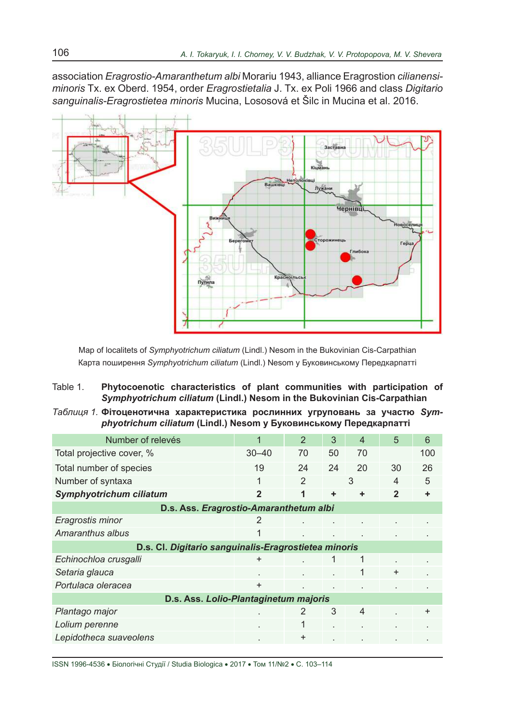association *Eragrostio-Amaranthetum albi* Morariu 1943, alliance Eragrostion *cilianensiminoris* Tx. ex Oberd. 1954, order *Eragrostietalia* J. Tx. ex Poli 1966 and class *Digitario sanguinalis-Eragrostietea minoris* Mucina, Lososová et Šilc in Mucina et al. 2016.



Map of localitets of *Symphyotrichum ciliatum* (Lindl.) Nesom in the Bukovinian Cis-Carpathian Карта поширення *Symphyotrichum ciliatum* (Lindl.) Nesom у Буковинському Передкарпатті

- Table 1. **Phytocoenotic characteristics of plant communities with participation of**  *Symphyotrichum ciliatum* **(Lindl.) Nesom in the Bukovinian Cis-Carpathian**
- *Таблиця 1.* **Фітоценотична характеристика рослинних угруповань за участю** *Symphyotrichum ciliatum* **(Lindl.) Nesom у Буковинському Передкарпатті**

| Number of relevés                                    |                | $\overline{2}$ | 3  | $\overline{4}$ | 5            | 6         |  |  |
|------------------------------------------------------|----------------|----------------|----|----------------|--------------|-----------|--|--|
| Total projective cover, %                            | $30 - 40$      | 70             | 50 | 70             |              | 100       |  |  |
| Total number of species                              | 19             | 24             | 24 | 20             | 30           | 26        |  |  |
| Number of syntaxa                                    | 1              | $\mathcal{P}$  | 3  |                | 4            | 5         |  |  |
| Symphyotrichum ciliatum                              | $\mathbf{2}$   | 1              | ÷  | ÷              | $\mathbf{2}$ |           |  |  |
| D.s. Ass. Eragrostio-Amaranthetum albi               |                |                |    |                |              |           |  |  |
| Eragrostis minor                                     | $\overline{2}$ |                |    |                |              |           |  |  |
| Amaranthus albus                                     |                |                |    |                |              |           |  |  |
| D.s. Cl. Digitario sanguinalis-Eragrostietea minoris |                |                |    |                |              |           |  |  |
| Echinochloa crusgalli                                |                |                |    | 1              |              |           |  |  |
| Setaria glauca                                       |                |                |    | 1              | $\ddot{}$    |           |  |  |
| Portulaca oleracea                                   | $\ddot{}$      | $\blacksquare$ |    |                |              |           |  |  |
| D.s. Ass. Lolio-Plantaginetum majoris                |                |                |    |                |              |           |  |  |
| Plantago major                                       |                | 2              | 3  | $\overline{4}$ |              | $\ddot{}$ |  |  |
| Lolium perenne                                       |                |                |    |                |              |           |  |  |
| Lepidotheca suaveolens                               |                | $\ddot{}$      |    |                |              |           |  |  |

ISSN 1996-4536 • Біологічні Студії / Studia Biologica • 2017 • Том 11/№2 • С. 103–114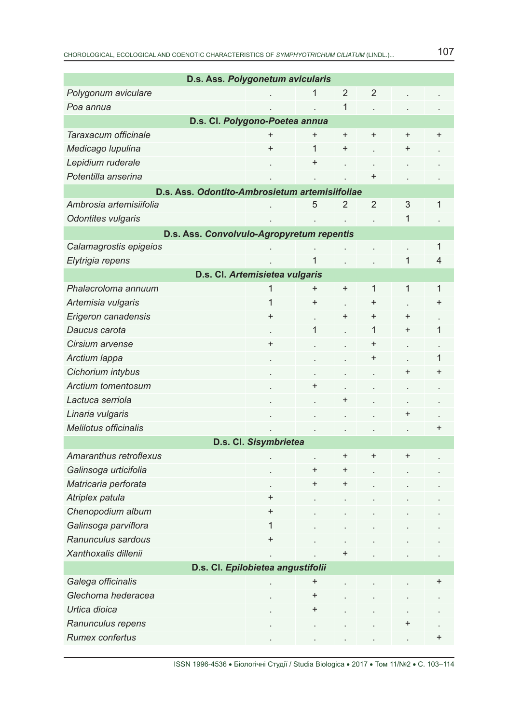| D.s. Ass. Polygonetum avicularis               |                                |                |                |                |           |              |  |  |
|------------------------------------------------|--------------------------------|----------------|----------------|----------------|-----------|--------------|--|--|
| Polygonum aviculare                            |                                | 1              | $\overline{2}$ | $\overline{2}$ |           |              |  |  |
| Poa annua                                      |                                |                | 1              |                |           |              |  |  |
| D.s. Cl. Polygono-Poetea annua                 |                                |                |                |                |           |              |  |  |
| Taraxacum officinale                           | $\ddot{}$                      | $\ddot{}$      | $\ddot{}$      | $\ddot{}$      | $\ddot{}$ | $\ddot{}$    |  |  |
| Medicago lupulina                              | $\ddot{}$                      | 1              | $\ddot{}$      |                | +         |              |  |  |
| Lepidium ruderale                              |                                | $\pmb{+}$      |                |                |           |              |  |  |
| Potentilla anserina                            |                                |                |                | $\ddot{}$      |           |              |  |  |
| D.s. Ass. Odontito-Ambrosietum artemisiifoliae |                                |                |                |                |           |              |  |  |
| Ambrosia artemisiifolia                        |                                | 5              | $\overline{2}$ | $\overline{2}$ | 3         | 1            |  |  |
| Odontites vulgaris                             |                                |                |                |                | 1         |              |  |  |
| D.s. Ass. Convolvulo-Agropyretum repentis      |                                |                |                |                |           |              |  |  |
| Calamagrostis epigeios                         |                                |                |                |                |           | $\mathbf{1}$ |  |  |
| Elytrigia repens                               |                                | $\overline{1}$ |                |                | 1         | 4            |  |  |
|                                                | D.s. Cl. Artemisietea vulgaris |                |                |                |           |              |  |  |
| Phalacroloma annuum                            | 1                              | $\pmb{+}$      | $\ddot{}$      | 1              | 1         | $\mathbf{1}$ |  |  |
| Artemisia vulgaris                             | 1                              | $\ddot{}$      |                | $\ddot{}$      |           | $\ddot{}$    |  |  |
| Erigeron canadensis                            | $\pmb{+}$                      |                | $\ddot{}$      | $\ddot{}$      | $\pmb{+}$ |              |  |  |
| Daucus carota                                  |                                | 1              |                | 1              | $\ddot{}$ | 1            |  |  |
| Cirsium arvense                                | $\ddot{}$                      |                |                | $\pmb{+}$      |           |              |  |  |
| Arctium lappa                                  |                                |                |                | $\ddot{}$      |           | 1            |  |  |
| Cichorium intybus                              |                                |                |                |                | $\ddot{}$ | $\pmb{+}$    |  |  |
| Arctium tomentosum                             |                                | $\ddot{}$      |                |                |           |              |  |  |
| Lactuca serriola                               |                                |                | +              |                |           |              |  |  |
| Linaria vulgaris                               |                                |                |                |                | $\ddot{}$ |              |  |  |
| <b>Melilotus officinalis</b>                   |                                |                |                |                |           | +            |  |  |
|                                                | D.s. Cl. Sisymbrietea          |                |                |                |           |              |  |  |
| Amaranthus retroflexus                         |                                |                | $\ddot{}$      | $\ddot{}$      | $\ddot{}$ |              |  |  |
| Galinsoga urticifolia                          |                                | $\ddot{}$      | +              |                |           |              |  |  |
| Matricaria perforata                           |                                | $\ddot{}$      | +              |                |           |              |  |  |
| Atriplex patula                                | $\ddot{}$                      |                |                |                |           |              |  |  |
| Chenopodium album                              | $\pmb{+}$                      |                |                |                |           |              |  |  |
| Galinsoga parviflora                           | 1                              |                |                |                |           |              |  |  |
| Ranunculus sardous                             | $\ddot{}$                      |                |                |                |           |              |  |  |
| Xanthoxalis dillenii                           |                                |                | +              |                |           |              |  |  |
| D.s. Cl. Epilobietea angustifolii              |                                |                |                |                |           |              |  |  |
| Galega officinalis                             |                                | $\pmb{+}$      |                |                |           | +            |  |  |
| Glechoma hederacea                             |                                | $\ddot{}$      |                |                |           |              |  |  |
| Urtica dioica                                  |                                | $\ddot{}$      |                |                |           |              |  |  |
| Ranunculus repens                              |                                |                |                |                |           |              |  |  |
| Rumex confertus                                |                                |                |                |                |           | +            |  |  |

ISSN 1996-4536 • Біологічні Студії / Studia Biologica • 2017 • Том 11/№2 • С. 103–114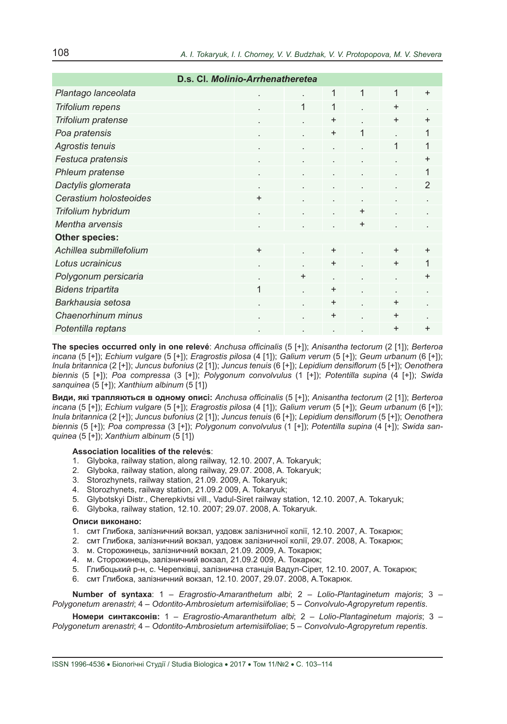| D.s. Cl. Molinio-Arrhenatheretea |                      |           |           |           |              |                |
|----------------------------------|----------------------|-----------|-----------|-----------|--------------|----------------|
| Plantago lanceolata              |                      |           | 1         | 1         | 1            | $\ddot{}$      |
| Trifolium repens                 |                      | 1         | 1         |           | $\ddot{}$    |                |
| Trifolium pratense               |                      |           | $\ddot{}$ |           | $\ddot{}$    | $\ddot{}$      |
| Poa pratensis                    | $\ddot{\phantom{a}}$ | $\cdot$   | $\ddot{}$ | 1         |              | 1              |
| Agrostis tenuis                  |                      |           |           |           | $\mathbf{1}$ | 1              |
| Festuca pratensis                |                      |           |           |           |              | $\ddot{}$      |
| Phleum pratense                  |                      |           | ÷         |           |              | 1              |
| Dactylis glomerata               |                      |           |           |           |              | $\overline{2}$ |
| Cerastium holosteoides           | $\ddot{}$            |           |           |           | ٠            |                |
| Trifolium hybridum               |                      |           |           | $\ddot{}$ |              |                |
| Mentha arvensis                  |                      | $\cdot$   |           | $\ddot{}$ | $\cdot$      |                |
| Other species:                   |                      |           |           |           |              |                |
| Achillea submillefolium          | $+$                  |           | $\ddot{}$ |           | $\ddot{}$    | $\ddot{}$      |
| Lotus ucrainicus                 |                      |           | $\ddot{}$ |           | $\ddot{}$    | 1              |
| Polygonum persicaria             |                      | $\ddot{}$ |           |           |              | $\ddot{}$      |
| <b>Bidens tripartita</b>         | 1                    |           | $\ddot{}$ |           |              |                |
| Barkhausia setosa                |                      |           | $\ddot{}$ |           | $+$          |                |
| Chaenorhinum minus               |                      |           | $\ddot{}$ |           | $+$          |                |
| Potentilla reptans               |                      |           |           |           | $+$          | $\ddot{}$      |

**The species occurred only in one relevé**: *Anchusa officinalis* (5 [+]); *Anisantha tectorum* (2 [1]); *Berteroa incana* (5 [+]); *Echium vulgare* (5 [+]); *Eragrostis pilosa* (4 [1]); *Galium verum* (5 [+]); *Geum urbanum* (6 [+]); *Inula britannica* (2 [+]); *Juncus bufonius* (2 [1]); *Juncus tenuis* (6 [+]); *Lepidium densiflorum* (5 [+]); *Oenothera biennis* (5 [+]); *Poa compressa* (3 [+]); *Polygonum convolvulus* (1 [+]); *Potentilla supina* (4 [+]); *Swida sanquinea* (5 [+]); *Xanthium albinum* (5 [1])

**Види, які трапляються в одному описі:** *Anchusa officinalis* (5 [+]); *Anisantha tectorum* (2 [1]); *Berteroa incana* (5 [+]); *Echium vulgare* (5 [+]); *Eragrostis pilosa* (4 [1]); *Galium verum* (5 [+]); *Geum urbanum* (6 [+]); *Inula britannica* (2 [+]); *Juncus bufonius* (2 [1]); *Juncus tenuis* (6 [+]); *Lepidium densiflorum* (5 [+]); *Oenothera biennis* (5 [+]); *Poa compressa* (3 [+]); *Polygonum convolvulus* (1 [+]); *Potentilla supina* (4 [+]); *Swida sanquinea* (5 [+]); *Xanthium albinum* (5 [1])

#### **Association localities of the relev**é**s**:

- 1. Glyboka, railway station, along railway, 12.10. 2007, A. Tokaryuk;
- 2. Glyboka, railway station, along railway, 29.07. 2008, A. Tokaryuk;
- 3. Storozhynets, railway station, 21.09. 2009, A. Tokaryuk;
- 4. Storozhynets, railway station, 21.09.2 009, A. Tokaryuk;
- 5. Glybotskyi Distr., Cherepkivtsi vill., Vadul-Siret railway station, 12.10. 2007, A. Tokaryuk;
- 6. Glyboka, railway station, 12.10. 2007; 29.07. 2008, A. Tokaryuk.

#### **Описи виконано:**

- 1. смт Глибока, залізничний вокзал, уздовж залізничної колії, 12.10. 2007, А. Токарюк;
- 2. смт Глибока, залізничний вокзал, уздовж залізничної колії, 29.07. 2008, А. Токарюк;
- 3. м. Сторожинець, залізничний вокзал, 21.09. 2009, А. Токарюк;
- 4. м. Сторожинець, залізничний вокзал, 21.09.2 009, А. Токарюк;
- 5. Глибоцький р-н, с. Черепківці, залізнична станція Вадул-Сірет, 12.10. 2007, А. Токарюк;
- 6. смт Глибока, залізничний вокзал, 12.10. 2007, 29.07. 2008, А.Токарюк.

**Number of syntaxa**: 1 – *Eragrostio-Amaranthetum albi*; 2 – *Lolio-Plantaginetum majoris*; 3 – *Polygonetum arenastri*; 4 – *Odontito-Ambrosietum artemisiifoliae*; 5 – *Convolvulo-Agropyretum repentis*.

**Номери синтаксонів:** 1 – *Eragrostio-Amaranthetum albi*; 2 – *Lolio-Plantaginetum majoris*; 3 – *Polygonetum arenastri*; 4 – *Odontito-Ambrosietum artemisiifoliae*; 5 – *Convolvulo-Agropyretum repentis*.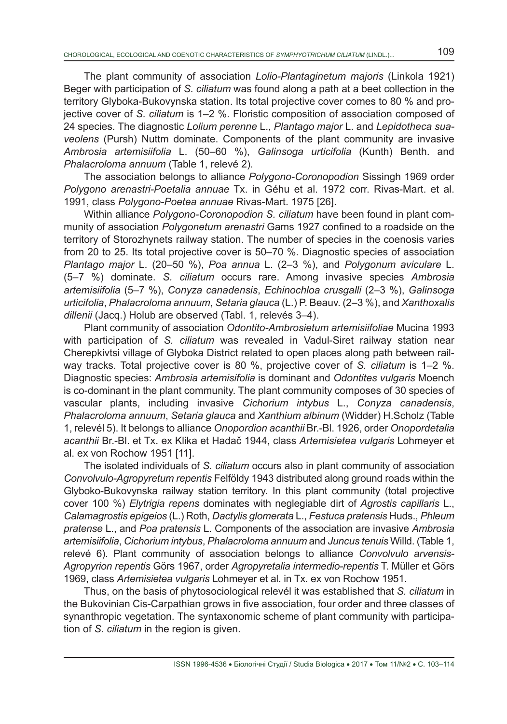The plant community of association *Lolio-Plantaginetum majoris* (Linkola 1921) Beger with participation of *S. ciliatum* was found along a path at a beet collection in the territory Glyboka-Bukovynska station. Its total projective cover comes to 80 % and projective cover of *S. ciliatum* is 1–2 %. Floristic composition of association composed of 24 species. The diagnostic *Lolium perenne* L., *Plantago major* L. and *Lepidotheca suaveolens* (Pursh) Nuttm dominate. Components of the plant community are invasive *Ambrosia artemisiifolia* L. (50–60 %), *Galinsoga urticifolia* (Kunth) Benth. and *Phalacroloma annuum* (Table 1, relevé 2)*.*

The association belongs to alliance *Polygono-Coronopodion* Sissingh 1969 order *Polygono arenastri-Poetalia annuae* Tx. in Géhu et al. 1972 corr. Rivas-Mart. et al. 1991, class *Polygono-Poеtea annuae* Rivas-Mart. 1975 [26].

Within alliance *Polygono-Coronopodion S. ciliatum* have been found in plant community of association *Polygonetum arenastri* Gams 1927 confined to a roadside on the territory of Storozhynets railway station. The number of species in the coenosis varies from 20 to 25. Its total projective cover is 50–70 %. Diagnostic species of association *Plantago major* L. (20–50 %), *Poa annua* L. (2–3 %), and *Polygonum aviculare* L. (5–7 %) dominate. *S. ciliatum* occurs rare. Among invasive species *Ambrosia artemisiifolia* (5–7 %), *Conyza canadensis*, *Echinochloa crusgalli* (2–3 %), *Galinsoga urticifolia*, *Phalacroloma annuum*, *Setaria glauca* (L.) P. Beauv. (2–3 %), and *Xanthoxalis dillenii* (Jacq.) Holub are observed (Tabl. 1, relevés 3–4).

Plant community of association *Odontito-Ambrosietum artemisiifoliae* Mucina 1993 with participation of *S. ciliatum* was revealed in Vadul-Siret railway station near Cherepkivtsi village of Glyboka District related to open places along path between railway tracks. Total projective cover is 80 %, projective cover of *S. ciliatum* is 1–2 %. Diagnostic species: *Ambrosia artemisifolia* is dominant and *Odontites vulgaris* Moench is co-dominant in the plant community. The plant community composes of 30 species of vascular plants, including invasive *Cichorium intybus* L., *Conyza canadensis*, *Phalacroloma annuum*, *Setaria glauca* and *Xanthium albinum* (Widder) H.Scholz (Table 1, relevél 5). It belongs to alliance *Onopordion acanthii* Br.-Bl. 1926, order *Onopordetalia acanthii* Br.-Bl. et Tx. ex Klika et Hadač 1944, class *Artemisietea vulgaris* Lohmeyer et al. ex von Rochow 1951 [11].

The isolated individuals of *S. ciliatum* occurs also in plant community of association *Convolvulo-Agropyretum repentis* Felföldy 1943 distributed along ground roads within the Glyboko-Bukovynska railway station territory. In this plant community (total projective cover 100 %) *Elytrigia repens* dominates with neglegiable dirt of *Agrostis capillaris* L., *Calamagrostis epigeios* (L.) Roth, *Dactylis glomerata* L., *Festuca pratensis* Huds., *Phleum pratense* L., and *Poa pratensis* L. Components of the association are invasive *Ambrosia artemisiifolia*, *Cichorium intybus*, *Phalacroloma annuum* and *Juncus tenuis* Willd. (Table 1, relevé 6). Plant community of association belongs to alliance *Convolvulo arvensis-Agropyrion repentis* Görs 1967, order *Agropyretalia intermedio-repentis* T. Müller et Görs 1969, class *Artemisietea vulgaris* Lohmeyer et al. in Tx. ex von Rochow 1951.

Thus, on the basis of phytosociological relevél it was established that *S. ciliatum* in the Bukovinian Cis-Carpathian grows in five association, four order and three classes of synanthropic vegetation. The syntaxonomic scheme of plant community with participation of *S. ciliatum* in the region is given.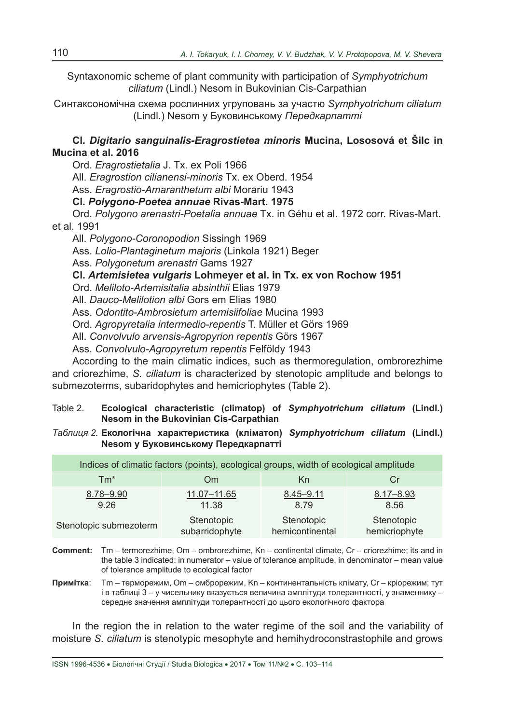Syntaxonomic scheme of plant community with participation of *Symphyotrichum ciliatum* (Lindl.) Nesom in Bukovinian Cis-Carpathian

Синтаксономічна схема рослинних угруповань за участю *Symphyotrichum ciliatum* (Lindl.) Nesom у Буковинському *Передкарпатті*

**Cl.** *Digitario sanguinalis-Eragrostietea minoris* **Mucina, Lososová et Šilc in Mucina et al. 2016**

Ord. *Eragrostietalia* J. Tx. ex Poli 1966

All. *Eragrostion cilianensi-minoris* Tx. ex Oberd. 1954

Ass. *Eragrostio-Amaranthetum albi* Morariu 1943

**Cl.** *Polygono-Poеtea annuae* **Rivas-Mart. 1975** 

Ord. *Polygono arenastri-Poetalia annuae* Tx. in Géhu et al. 1972 corr. Rivas-Mart. et al. 1991

All. *Polygono-Coronopodion* Sissingh 1969

Ass. *Lolio-Plantaginetum majoris* (Linkola 1921) Beger

Ass. *Polygonetum arenastri* Gams 1927

**Cl.** *Artemisietea vulgaris* **Lohmeyer et al. in Tx. ex von Rochow 1951**

Ord. *Meliloto-Artemisitalia absinthii* Elias 1979

All. *Dauco-Melilotion albi* Gors em Elias 1980

Ass. *Odontito-Ambrosietum artemisiifoliae* Mucina 1993

Ord. *Agropyretalia intermedio-repentis* T. Müller et Görs 1969

All. *Convolvulo arvensis-Agropyrion repentis* Görs 1967

Ass. *Convolvulo-Agropyretum repentis* Felföldy 1943

According to the main climatic indices, such as thermoregulation, ombrorezhime and criorezhime, *S. ciliatum* is characterized by stenotopic amplitude and belongs to submezoterms, subaridophytes and hemicriophytes (Table 2).

Table 2. **Ecological characteristic (climatop) of** *Symphyotrichum ciliatum* **(Lindl.) Nesom in the Bukovinian Cis-Carpathian**

*Таблиця 2.* **Екологічна характеристика (кліматоп)** *Symphyotrichum ciliatum* **(Lindl.) Nesom у Буковинському Передкарпатті**

| Indices of climatic factors (points), ecological groups, width of ecological amplitude |                |                 |               |  |  |  |  |
|----------------------------------------------------------------------------------------|----------------|-----------------|---------------|--|--|--|--|
| $Tm^*$                                                                                 | Om             | Kn              | Cr            |  |  |  |  |
| 8.78-9.90                                                                              | 11.07-11.65    | $8.45 - 9.11$   | $8.17 - 8.93$ |  |  |  |  |
| 9.26                                                                                   | 11.38          | 8.79            | 8.56          |  |  |  |  |
| Stenotopic submezoterm                                                                 | Stenotopic     | Stenotopic      | Stenotopic    |  |  |  |  |
|                                                                                        | subarridophyte | hemicontinental | hemicriophyte |  |  |  |  |

**Comment:** Tm – termorezhime, Om – ombrorezhime, Kn – continental climate, Cr – criorezhime; its and in the table 3 indicated: in numerator – value of tolerance amplitude, in denominator – mean value of tolerance amplitude to ecological factor

**Примітка**: Tm – терморежим, Om – омброрежим, Kn – континентальність клімату, Cr – кріорежим; тут і в таблиці 3 – у чисельнику вказується величина амплітуди толерантності, у знаменнику – середнє значення амплітуди толерантності до цього екологічного фактора

In the region the in relation to the water regime of the soil and the variability of moisture *S. ciliatum* is stenotypic mesophyte and hemihydroconstrastophile and grows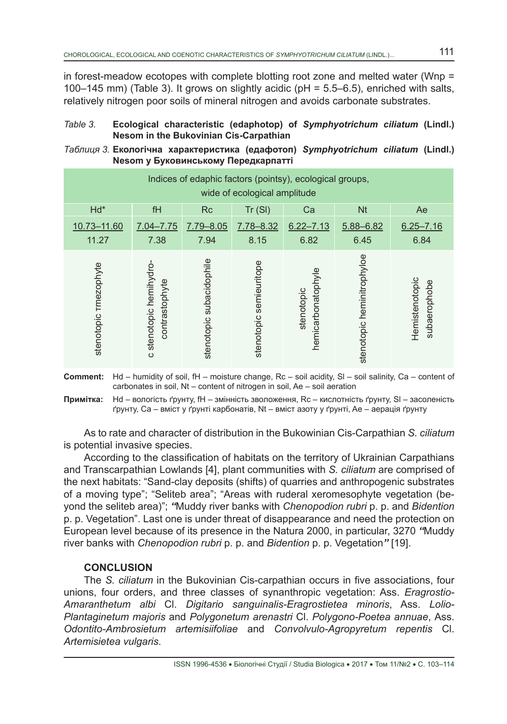in forest-meadow ecotopes with complete blotting root zone and melted water (Wnp = 100–145 mm) (Table 3). It grows on slightly acidic (pH = 5.5–6.5), enriched with salts, relatively nitrogen poor soils of mineral nitrogen and avoids carbonate substrates.

### *Table 3.* **Ecological characteristic (edaphotop) of** *Symphyotrichum ciliatum* **(Lindl.) Nesom in the Bukovinian Cis-Carpathian**

## *Таблиця 3.* **Екологічна характеристика (едафотоп)** *Symphyotrichum ciliatum* **(Lindl.) Nesom у Буковинському Передкарпатті**

| Indices of edaphic factors (pointsy), ecological groups,<br>wide of ecological amplitude |                                           |                          |                            |                                  |                            |                                |  |
|------------------------------------------------------------------------------------------|-------------------------------------------|--------------------------|----------------------------|----------------------------------|----------------------------|--------------------------------|--|
| Hd*                                                                                      | fH                                        | <b>Rc</b>                | Tr(SI)                     | Ca                               | <b>Nt</b>                  | Ae                             |  |
| 10.73-11.60<br>11.27                                                                     | 7.04-7.75<br>7.38                         | 7.79-8.05<br>7.94        | 7.78-8.32<br>8.15          | $6.22 - 7.13$<br>6.82            | 5.88-6.82<br>6.45          | $6.25 - 7.16$<br>6.84          |  |
| stenotopic rmezophyte                                                                    | c stenotopic heminydro-<br>contrastophyte | stenotopic subacidophile | semieuritope<br>stenotopic | hemicarbonatophyle<br>stenotopic | stenotopic heminitrophyloe | Hemistenotopic<br>subaerophobe |  |

**Comment:** Hd – humidity of soil, fH – moisture change, Rc – soil acidity, Sl – soil salinity, Ca – content of carbonates in soil, Nt – content of nitrogen in soil, Ae – soil aeration

**Примітка:** Hd – вологість ґрунту, fH – змінність зволоження, Rc – кислотність ґрунту, Sl – засоленість ґрунту, Ca – вміст у ґрунті карбонатів, Nt – вміст азоту у ґрунті, Ae – аерація ґрунту

As to rate and character of distribution in the Bukowinian Cis-Carpathian *S. ciliatum* is potential invasive species.

According to the classification of habitats on the territory of Ukrainian Carpathians and Transcarpathian Lowlands [4], plant communities with *S. ciliatum* are comprised of the next habitats: "Sand-clay deposits (shifts) of quarries and anthropogenic substrates of a moving type"; "Seliteb area"; "Areas with ruderal xeromesophyte vegetation (beyond the seliteb area)"; *"*Muddy river banks with *Chenopodion rubri* p. p. and *Bidention* p. p. Vegetation". Last one is under threat of disappearance and need the protection on European level because of its presence in the Natura 2000, in particular, 3270 *"*Muddy river banks with *Chenopodion rubri* p. p. and *Bidention* p. p. Vegetation*"* [19].

### **CONCLUSION**

The *S. ciliatum* in the Bukovinian Cis-carpathian occurs in five associations, four unions, four orders, and three classes of synanthropic vegetation: Ass. *Eragrostio-Amaranthetum albi* Cl. *Digitario sanguinalis-Eragrostietea minoris*, Ass. *Lolio-Plantaginetum majoris* and *Polygonetum arenastri* Cl. *Polygono-Poеtea annuae*, Ass. *Odontito-Ambrosietum artemisiifoliae* and *Convolvulo-Agropyretum repentis* Cl. *Artemisietea vulgaris*.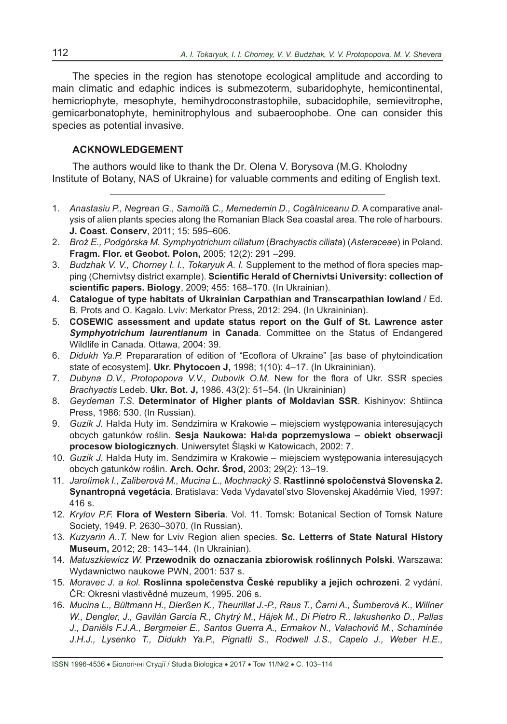The species in the region has stenotope ecological amplitude and according to main climatic and edaphic indices is submezoterm, subaridophyte, hemicontinental, hemicriophyte, mesophyte, hemihydroconstrastophile, subacidophile, semievitrophe, gemicarbonatophyte, heminitrophylous and subaeroophobe. One can consider this species as potential invasive.

# **ACKNOWLEDGEMENT**

The authors would like to thank the Dr. Olena V. Borysova (M.G. Kholodny Institute of Botany, NAS of Ukraine) for valuable comments and editing of English text.

- 1. *Anastasiu P., Negrean G., Samoil*ă *C., Memedemin D., Cog*ă*lniceanu D.* A comparative analysis of alien plants species along the Romanian Black Sea coastal area. The role of harbours. **J. Coast. Conserv**, 2011; 15: 595–606.
- 2. *Broż E., Podgórska M. Symphyotrichum ciliatum* (*Brachyactis ciliata*) (*Asteraceae*) in Poland. **Fragm. Flor. et Geobot. Polon,** 2005; 12(2): 291 –299.
- 3. *Budzhak V. V., Chorney I. I., Tokaryuk A. I.* Supplement to the method of flora species mapping (Chernivtsy district example). **Scientific Herald of Chernivtsi University: collection of scientific papers. Biology**, 2009; 455: 168–170. (In Ukrainian).
- 4. **Catalogue of type habitats of Ukrainian Carpathian and Transcarpathian lowland** / Ed. B. Prots and O. Kagalo. Lviv: Merkator Press, 2012: 294. (In Ukraininian).
- 5. **COSEWIC assessment and update status report on the Gulf of St. Lawrence aster**  *Symphyotrichum laurentianum* **in Canada**. Committee on the Status of Endangered Wildlife in Canada. Ottawa, 2004: 39.
- 6. *Didukh Ya.P.* Prepararation of edition of "Ecoflora of Ukraine" [as base of phytoindication state of ecosystem]. **Ukr. Phytocoen J,** 1998; 1(10): 4–17. (In Ukraininian).
- 7. *Dubyna D.V., Protopopova V.V., Dubovik O.M.* New for the flora of Ukr. SSR species *Brachyactis* Ledeb. **Ukr. Bot. J,** 1986. 43(2): 51–54. (In Ukraininian)
- 8. *Geydeman T.S.* **Determinator of Higher plants of Moldavian SSR**. Kishinyov: Shtiinca Press, 1986: 530. (In Russian).
- 9. *Guzik J.* Halda Huty im. Sendzimira w Krakowie miejsciem występowania interesujących obcych gatunków roślin. **Sesja Naukowa: Haŀda poprzemyslowa – obiekt obserwacji procesow biologicznych**. Uniwersytet Śląski w Katowicach, 2002: 7.
- 10. *Guzik J.* Haŀda Huty im. Sendzimira w Krakowie miejsciem występowania interesujących obcych gatunków roślin. **Arch. Ochr. Środ,** 2003; 29(2): 13–19.
- 11. *Jarolímek I., Zaliberová M., Mucina L., Mochnacký S.* **Rastlinné spoločenstvá Slovenska 2. Synantropná vegetácia**. Bratislava: Veda Vydavatel'stvo Slovenskej Akadémie Vied, 1997: 416 s.
- 12. *Krylov P.F.* **Flora of Western Siberia**. Vol. 11. Tomsk: Botanical Section of Tomsk Nature Society, 1949. P. 2630–3070. (In Russian).
- 13. *Kuzyarin A..T.* New for Lviv Region alien species. **Sc. Letterrs of State Natural History Museum,** 2012; 28: 143–144. (In Ukrainian).
- 14. *Matuszkiewicz W.* **Przewodnik do oznaczania zbiorowisk roślinnych Polski**. Warszawa: Wydawnictwo naukowe PWN, 2001: 537 s.
- 15. *Moravec J. a kol.* **Roslinna společenstva České republiky a jejich ochrozeni**. 2 vydání. ČR: Okresni vlastivědné muzeum, 1995. 206 s.
- 16. *Mucina L., Bültmann H., Dierßen K., Theurillat J.-P., Raus T., Čarni A., Šumberová K., Willner W., Dengler, J., Gavilán García R., Chytrý M., Hájek M., Di Pietro R., Iakushenko D., Pallas J., Daniëls F.J.A., Bergmeier E., Santos Guerra A., Ermakov N., Valachovič M., Schaminée J.H.J., Lysenko T., Didukh Ya.P., Pignatti S., Rodwell J.S., Capelo J., Weber H.E.,*

ISSN 1996-4536 • Біологічні Студії / Studia Biologica • 2017 • Том 11/№2 • С. 103–114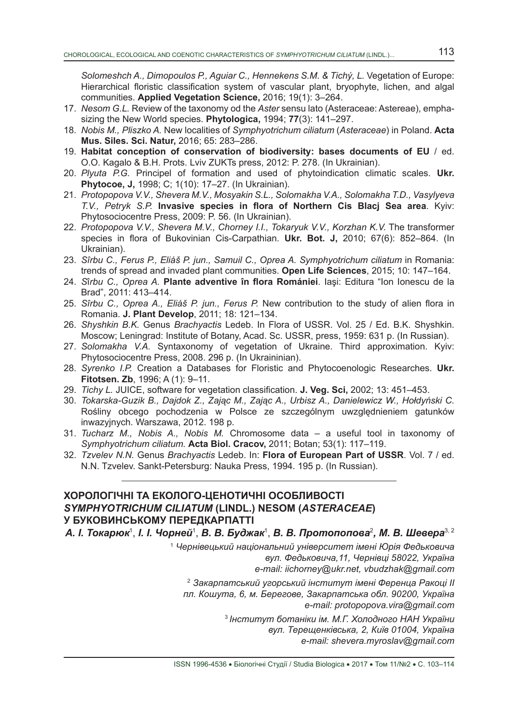*Solomeshch A., Dimopoulos P., Aguiar C., Hennekens S.M. & Tichý, L.* Vegetation of Europe: Hierarchical floristic classification system of vascular plant, bryophyte, lichen, and algal communities. **Applied Vegetation Science,** 2016; 19(1): 3–264.

- 17. *Nesom G.L.* Review of the taxonomy od the *Aster* sensu lato (Asteraceae: Astereae), emphasizing the New World species. **Phytologica,** 1994; **77**(3): 141–297.
- 18. *Nobis M., Pliszko A.* New localities of *Symphyotrichum ciliatum* (*Asteraceae*) in Poland. **Acta Mus. Siles. Sci. Natur,** 2016; 65: 283–286.
- 19. **Habitat conception of conservation of biodiversity: bases documents of EU** / ed. O.O. Kagalo & B.H. Prots. Lviv ZUKTs press, 2012: P. 278. (In Ukrainian).
- 20. *Plyuta P.G.* Principel of formation and used of phytoindication climatic scales. **Ukr. Phytocoe, J,** 1998; C; 1(10): 17–27. (In Ukrainian).
- 21. *Protopopova V.V., Shevera M.V., Mosyakin S.L., Solomakha V.A., Solomakha T.D., Vasylyeva T.V., Petryk S.P.* **Invasive species in flora of Northern Cis Blacj Sea area**. Kyiv: Phytosociocentre Press, 2009: P. 56. (In Ukrainian).
- 22. *Protopopova V.V., Shevera M.V., Chorney I.I., Tokaryuk V.V., Korzhan K.V.* The transformer species in flora of Bukovinian Cis-Carpathian. **Ukr. Bot. J,** 2010; 67(6): 852–864. (In Ukrainian).
- 23. *Sîrbu C., Ferus P., Eliáš P. jun., Samuil C., Oprea A. Symphyotrichum ciliatum* in Romania: trends of spread and invaded plant communities. **Open Life Sciences**, 2015; 10: 147–164.
- 24. *S*î*rbu C., Oprea A.* **Plante adventive în flora Romániei**. Iaşi: Editura "Ion Ionescu de la Brad", 2011: 413–414.
- 25. *Sîrbu C., Oprea A., Eliáš P. jun., Ferus P.* New contribution to the study of alien flora in Romania. **J. Plant Develop**, 2011; 18: 121–134.
- 26. *Shyshkin B.K.* Genus *Brachyactis* Ledeb. In Flora of USSR. Vol. 25 / Ed. B.K. Shyshkin. Мoscow; Leningrad: Institute of Botany, Acad. Sc. USSR, press, 1959: 631 p. (In Russian).
- 27. *Solomakha V.A.* Syntaxonomy of vegetation of Ukraine. Third approximation. Kyiv: Phytosociocentre Press, 2008. 296 p. (In Ukraininian).
- 28. *Syrenko I.P.* Creation a Databases for Floristic and Phytocoenologic Researches. **Ukr. Fitotsen. Zb**, 1996; A (1): 9–11.
- 29. *Tichy L.* JUICE, software for vegetation classification. **J. Veg. Sci,** 2002; 13: 451–453.
- 30. *Tokarska-Guzik B., Dajdok Z., Zając M., Zając A., Urbisz A., Danielewicz W., Hołdyński C.* Rośliny obcego pochodzenia w Polsce ze szczególnym uwzględnieniem gatunków inwazyjnych. Warszawa, 2012. 198 p.
- 31. *Tucharz M., Nobis A., Nobis M.* Chromosome data a useful tool in taxonomy of *Symphyotrichum ciliatum.* **Acta Biol. Cracov,** 2011; Botan; 53(1): 117–119.
- 32. *Tzvelev N.N.* Genus *Brachyactis* Ledeb. In: **Flora of European Part of USSR**. Vol. 7 / ed. N.N. Tzvelev. Sankt-Petersburg: Nauka Press, 1994. 195 p. (In Russian).

## **ХОРОЛОГІЧНІ ТА ЕКОЛОГО-ЦЕНОТИЧНI ОСОБЛИВОСТI** *SYMPHYOTRICHUM CILIATUM* **(LINDL.) NESOM (***ASTERACEAE***) У БУКОВИНСЬКОМУ ПЕРЕДКАРПАТТІ**

*А. І. Токарюк*<sup>1</sup> , *І. І. Чорней*<sup>1</sup> , *В. В. Буджак*<sup>1</sup> , *В. В. Протопопова*<sup>2</sup> *, М. В. Шевера*3, 2

<sup>1</sup> *Чернівецький національний університет імені Юрія Федьковича вул. Федьковича,11, Чернівці 58022, Україна*

*e-mail: іісhorney@ukr.net, vbudzhak@gmail.com*

<sup>2</sup> *Закарпатський угорський інститут імені Ференца Ракоці ІІ пл. Кошута, 6, м. Берегове, Закарпатська обл. 90200, Україна e-mail: protopopova.vira@gmail.com*

> <sup>3</sup> *Інститут ботаніки ім. М.Г. Холодного НАН України вул. Терещенківська, 2, Київ 01004, Україна e-mail: shevera.myroslav@gmail.com*